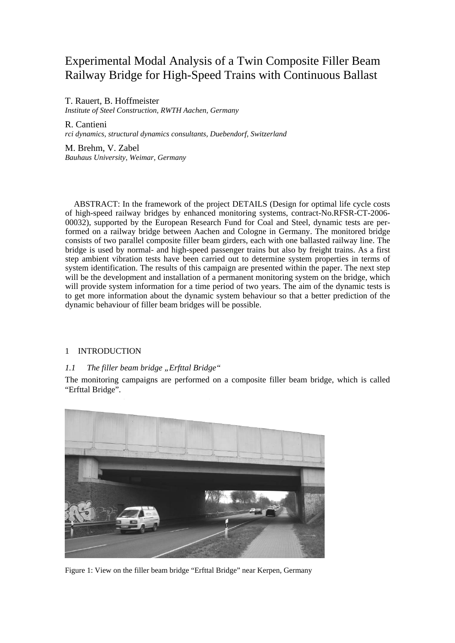# Experimental Modal Analysis of a Twin Composite Filler Beam Railway Bridge for High-Speed Trains with Continuous Ballast

T. Rauert, B. Hoffmeister *Institute of Steel Construction, RWTH Aachen, Germany* 

R. Cantieni *rci dynamics, structural dynamics consultants, Duebendorf, Switzerland* 

M. Brehm, V. Zabel *Bauhaus University, Weimar, Germany* 

ABSTRACT: In the framework of the project DETAILS (Design for optimal life cycle costs of high-speed railway bridges by enhanced monitoring systems, contract-No.RFSR-CT-2006- 00032), supported by the European Research Fund for Coal and Steel, dynamic tests are performed on a railway bridge between Aachen and Cologne in Germany. The monitored bridge consists of two parallel composite filler beam girders, each with one ballasted railway line. The bridge is used by normal- and high-speed passenger trains but also by freight trains. As a first step ambient vibration tests have been carried out to determine system properties in terms of system identification. The results of this campaign are presented within the paper. The next step will be the development and installation of a permanent monitoring system on the bridge, which will provide system information for a time period of two years. The aim of the dynamic tests is to get more information about the dynamic system behaviour so that a better prediction of the dynamic behaviour of filler beam bridges will be possible.

# 1 INTRODUCTION

# *1.1 The filler beam bridge "Erfttal Bridge"*

The monitoring campaigns are performed on a composite filler beam bridge, which is called "Erfttal Bridge".



Figure 1: View on the filler beam bridge "Erfttal Bridge" near Kerpen, Germany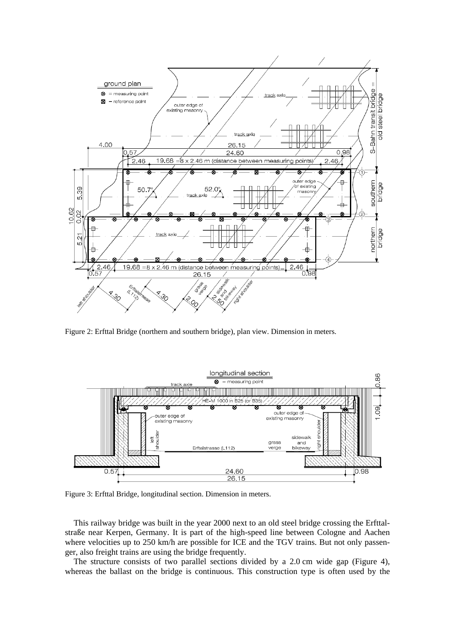

Figure 2: Erfttal Bridge (northern and southern bridge), plan view. Dimension in meters.



Figure 3: Erfttal Bridge, longitudinal section. Dimension in meters.

This railway bridge was built in the year 2000 next to an old steel bridge crossing the Erfttalstraße near Kerpen, Germany. It is part of the high-speed line between Cologne and Aachen where velocities up to 250 km/h are possible for ICE and the TGV trains. But not only passenger, also freight trains are using the bridge frequently.

The structure consists of two parallel sections divided by a 2.0 cm wide gap (Figure 4), whereas the ballast on the bridge is continuous. This construction type is often used by the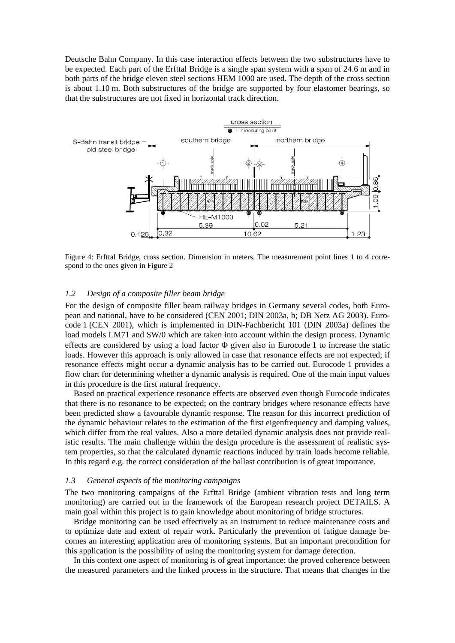Deutsche Bahn Company. In this case interaction effects between the two substructures have to be expected. Each part of the Erfttal Bridge is a single span system with a span of 24.6 m and in both parts of the bridge eleven steel sections HEM 1000 are used. The depth of the cross section is about 1.10 m. Both substructures of the bridge are supported by four elastomer bearings, so that the substructures are not fixed in horizontal track direction.



Figure 4: Erfttal Bridge, cross section. Dimension in meters. The measurement point lines 1 to 4 correspond to the ones given in Figure 2

## *1.2 Design of a composite filler beam bridge*

For the design of composite filler beam railway bridges in Germany several codes, both European and national, have to be considered (CEN 2001; DIN 2003a, b; DB Netz AG 2003). Eurocode 1 (CEN 2001), which is implemented in DIN-Fachbericht 101 (DIN 2003a) defines the load models LM71 and SW/0 which are taken into account within the design process. Dynamic effects are considered by using a load factor  $\Phi$  given also in Eurocode 1 to increase the static loads. However this approach is only allowed in case that resonance effects are not expected; if resonance effects might occur a dynamic analysis has to be carried out. Eurocode 1 provides a flow chart for determining whether a dynamic analysis is required. One of the main input values in this procedure is the first natural frequency.

Based on practical experience resonance effects are observed even though Eurocode indicates that there is no resonance to be expected; on the contrary bridges where resonance effects have been predicted show a favourable dynamic response. The reason for this incorrect prediction of the dynamic behaviour relates to the estimation of the first eigenfrequency and damping values, which differ from the real values. Also a more detailed dynamic analysis does not provide realistic results. The main challenge within the design procedure is the assessment of realistic system properties, so that the calculated dynamic reactions induced by train loads become reliable. In this regard e.g. the correct consideration of the ballast contribution is of great importance.

## *1.3 General aspects of the monitoring campaigns*

The two monitoring campaigns of the Erfttal Bridge (ambient vibration tests and long term monitoring) are carried out in the framework of the European research project DETAILS. A main goal within this project is to gain knowledge about monitoring of bridge structures.

Bridge monitoring can be used effectively as an instrument to reduce maintenance costs and to optimize date and extent of repair work. Particularly the prevention of fatigue damage becomes an interesting application area of monitoring systems. But an important precondition for this application is the possibility of using the monitoring system for damage detection.

In this context one aspect of monitoring is of great importance: the proved coherence between the measured parameters and the linked process in the structure. That means that changes in the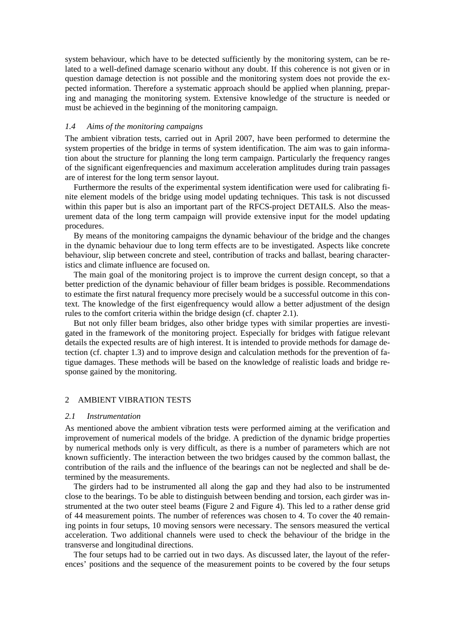system behaviour, which have to be detected sufficiently by the monitoring system, can be related to a well-defined damage scenario without any doubt. If this coherence is not given or in question damage detection is not possible and the monitoring system does not provide the expected information. Therefore a systematic approach should be applied when planning, preparing and managing the monitoring system. Extensive knowledge of the structure is needed or must be achieved in the beginning of the monitoring campaign.

## *1.4 Aims of the monitoring campaigns*

The ambient vibration tests, carried out in April 2007, have been performed to determine the system properties of the bridge in terms of system identification. The aim was to gain information about the structure for planning the long term campaign. Particularly the frequency ranges of the significant eigenfrequencies and maximum acceleration amplitudes during train passages are of interest for the long term sensor layout.

Furthermore the results of the experimental system identification were used for calibrating finite element models of the bridge using model updating techniques. This task is not discussed within this paper but is also an important part of the RFCS-project DETAILS. Also the measurement data of the long term campaign will provide extensive input for the model updating procedures.

By means of the monitoring campaigns the dynamic behaviour of the bridge and the changes in the dynamic behaviour due to long term effects are to be investigated. Aspects like concrete behaviour, slip between concrete and steel, contribution of tracks and ballast, bearing characteristics and climate influence are focused on.

The main goal of the monitoring project is to improve the current design concept, so that a better prediction of the dynamic behaviour of filler beam bridges is possible. Recommendations to estimate the first natural frequency more precisely would be a successful outcome in this context. The knowledge of the first eigenfrequency would allow a better adjustment of the design rules to the comfort criteria within the bridge design (cf. chapter 2.1).

But not only filler beam bridges, also other bridge types with similar properties are investigated in the framework of the monitoring project. Especially for bridges with fatigue relevant details the expected results are of high interest. It is intended to provide methods for damage detection (cf. chapter 1.3) and to improve design and calculation methods for the prevention of fatigue damages. These methods will be based on the knowledge of realistic loads and bridge response gained by the monitoring.

## 2 AMBIENT VIBRATION TESTS

## *2.1 Instrumentation*

As mentioned above the ambient vibration tests were performed aiming at the verification and improvement of numerical models of the bridge. A prediction of the dynamic bridge properties by numerical methods only is very difficult, as there is a number of parameters which are not known sufficiently. The interaction between the two bridges caused by the common ballast, the contribution of the rails and the influence of the bearings can not be neglected and shall be determined by the measurements.

The girders had to be instrumented all along the gap and they had also to be instrumented close to the bearings. To be able to distinguish between bending and torsion, each girder was instrumented at the two outer steel beams (Figure 2 and Figure 4). This led to a rather dense grid of 44 measurement points. The number of references was chosen to 4. To cover the 40 remaining points in four setups, 10 moving sensors were necessary. The sensors measured the vertical acceleration. Two additional channels were used to check the behaviour of the bridge in the transverse and longitudinal directions.

The four setups had to be carried out in two days. As discussed later, the layout of the references' positions and the sequence of the measurement points to be covered by the four setups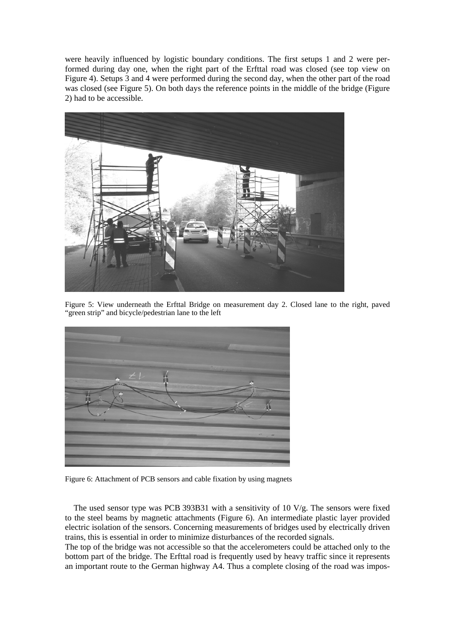were heavily influenced by logistic boundary conditions. The first setups 1 and 2 were performed during day one, when the right part of the Erfttal road was closed (see top view on Figure 4). Setups 3 and 4 were performed during the second day, when the other part of the road was closed (see Figure 5). On both days the reference points in the middle of the bridge (Figure 2) had to be accessible.



Figure 5: View underneath the Erfttal Bridge on measurement day 2. Closed lane to the right, paved "green strip" and bicycle/pedestrian lane to the left



Figure 6: Attachment of PCB sensors and cable fixation by using magnets

The used sensor type was PCB 393B31 with a sensitivity of 10 V/g. The sensors were fixed to the steel beams by magnetic attachments (Figure 6). An intermediate plastic layer provided electric isolation of the sensors. Concerning measurements of bridges used by electrically driven trains, this is essential in order to minimize disturbances of the recorded signals.

The top of the bridge was not accessible so that the accelerometers could be attached only to the bottom part of the bridge. The Erfttal road is frequently used by heavy traffic since it represents an important route to the German highway A4. Thus a complete closing of the road was impos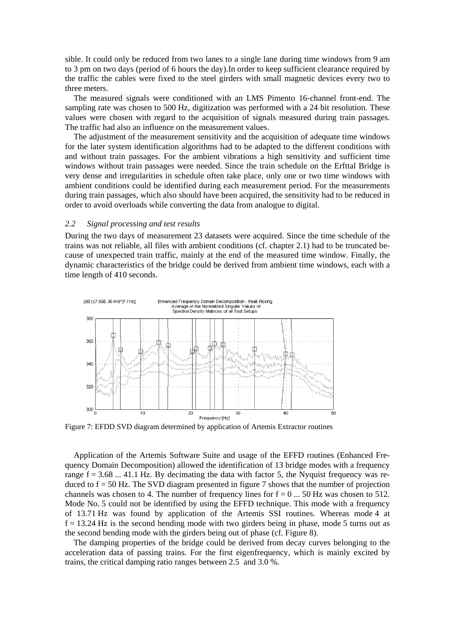sible. It could only be reduced from two lanes to a single lane during time windows from 9 am to 3 pm on two days (period of 6 hours the day).In order to keep sufficient clearance required by the traffic the cables were fixed to the steel girders with small magnetic devices every two to three meters.

The measured signals were conditioned with an LMS Pimento 16-channel front-end. The sampling rate was chosen to 500 Hz, digitization was performed with a 24 bit resolution. These values were chosen with regard to the acquisition of signals measured during train passages. The traffic had also an influence on the measurement values.

The adjustment of the measurement sensitivity and the acquisition of adequate time windows for the later system identification algorithms had to be adapted to the different conditions with and without train passages. For the ambient vibrations a high sensitivity and sufficient time windows without train passages were needed. Since the train schedule on the Erfttal Bridge is very dense and irregularities in schedule often take place, only one or two time windows with ambient conditions could be identified during each measurement period. For the measurements during train passages, which also should have been acquired, the sensitivity had to be reduced in order to avoid overloads while converting the data from analogue to digital.

#### *2.2 Signal processing and test results*

During the two days of measurement 23 datasets were acquired. Since the time schedule of the trains was not reliable, all files with ambient conditions (cf. chapter 2.1) had to be truncated because of unexpected train traffic, mainly at the end of the measured time window. Finally, the dynamic characteristics of the bridge could be derived from ambient time windows, each with a time length of 410 seconds.



Figure 7: EFDD SVD diagram determined by application of Artemis Extractor routines

Application of the Artemis Software Suite and usage of the EFFD routines (Enhanced Frequency Domain Decomposition) allowed the identification of 13 bridge modes with a frequency range  $f = 3.68$  ... 41.1 Hz. By decimating the data with factor 5, the Nyquist frequency was reduced to  $f = 50$  Hz. The SVD diagram presented in figure 7 shows that the number of projection channels was chosen to 4. The number of frequency lines for  $f = 0$  ... 50 Hz was chosen to 512. Mode No. 5 could not be identified by using the EFFD technique. This mode with a frequency of 13.71 Hz was found by application of the Artemis SSI routines. Whereas mode 4 at  $f = 13.24$  Hz is the second bending mode with two girders being in phase, mode 5 turns out as the second bending mode with the girders being out of phase (cf. Figure 8).

The damping properties of the bridge could be derived from decay curves belonging to the acceleration data of passing trains. For the first eigenfrequency, which is mainly excited by trains, the critical damping ratio ranges between 2.5 and 3.0 %.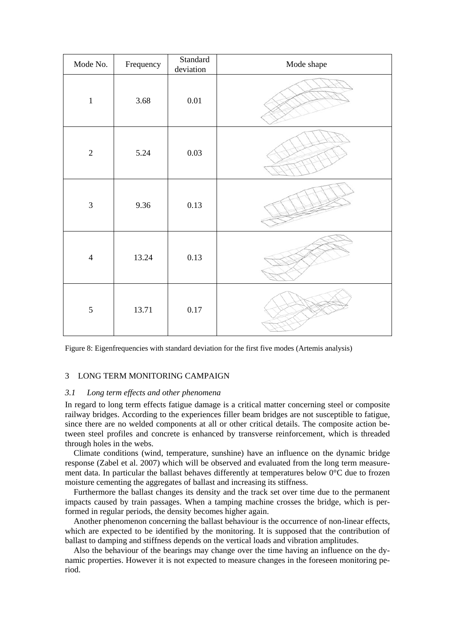| Mode No.       | Frequency | Standard<br>deviation | Mode shape |
|----------------|-----------|-----------------------|------------|
| $\mathbf{1}$   | 3.68      | $0.01\,$              |            |
| $\overline{2}$ | 5.24      | 0.03                  |            |
| $\mathfrak{Z}$ | 9.36      | 0.13                  |            |
| $\overline{4}$ | 13.24     | 0.13                  |            |
| 5              | 13.71     | $0.17\,$              |            |

Figure 8: Eigenfrequencies with standard deviation for the first five modes (Artemis analysis)

## 3 LONG TERM MONITORING CAMPAIGN

## *3.1 Long term effects and other phenomena*

In regard to long term effects fatigue damage is a critical matter concerning steel or composite railway bridges. According to the experiences filler beam bridges are not susceptible to fatigue, since there are no welded components at all or other critical details. The composite action between steel profiles and concrete is enhanced by transverse reinforcement, which is threaded through holes in the webs.

Climate conditions (wind, temperature, sunshine) have an influence on the dynamic bridge response (Zabel et al. 2007) which will be observed and evaluated from the long term measurement data. In particular the ballast behaves differently at temperatures below  $0^{\circ}$ C due to frozen moisture cementing the aggregates of ballast and increasing its stiffness.

Furthermore the ballast changes its density and the track set over time due to the permanent impacts caused by train passages. When a tamping machine crosses the bridge, which is performed in regular periods, the density becomes higher again.

Another phenomenon concerning the ballast behaviour is the occurrence of non-linear effects, which are expected to be identified by the monitoring. It is supposed that the contribution of ballast to damping and stiffness depends on the vertical loads and vibration amplitudes.

Also the behaviour of the bearings may change over the time having an influence on the dynamic properties. However it is not expected to measure changes in the foreseen monitoring period.